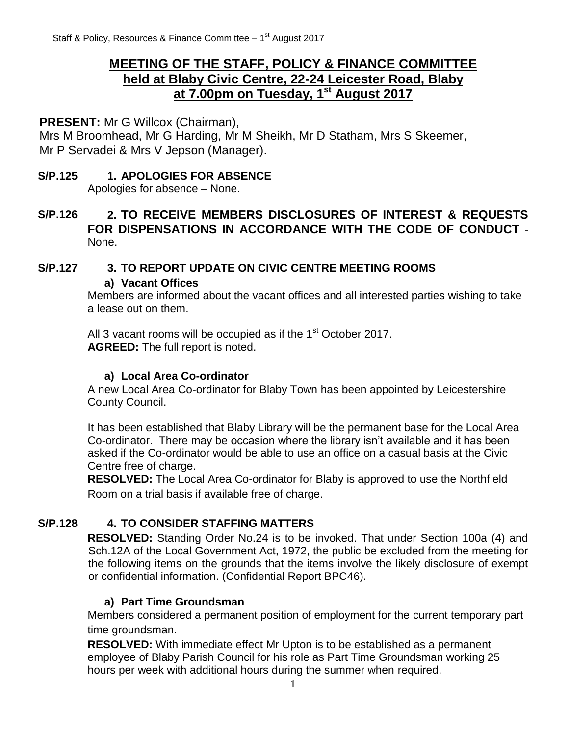# **MEETING OF THE STAFF, POLICY & FINANCE COMMITTEE held at Blaby Civic Centre, 22-24 Leicester Road, Blaby at 7.00pm on Tuesday, 1 st August 2017**

**PRESENT:** Mr G Willcox (Chairman),

Mrs M Broomhead, Mr G Harding, Mr M Sheikh, Mr D Statham, Mrs S Skeemer, Mr P Servadei & Mrs V Jepson (Manager).

#### **S/P.125 1. APOLOGIES FOR ABSENCE**

Apologies for absence – None.

**S/P.126 2. TO RECEIVE MEMBERS DISCLOSURES OF INTEREST & REQUESTS FOR DISPENSATIONS IN ACCORDANCE WITH THE CODE OF CONDUCT** - None.

# **S/P.127 3. TO REPORT UPDATE ON CIVIC CENTRE MEETING ROOMS**

#### **a) Vacant Offices**

Members are informed about the vacant offices and all interested parties wishing to take a lease out on them.

All 3 vacant rooms will be occupied as if the  $1<sup>st</sup>$  October 2017. **AGREED:** The full report is noted.

### **a) Local Area Co-ordinator**

A new Local Area Co-ordinator for Blaby Town has been appointed by Leicestershire County Council.

It has been established that Blaby Library will be the permanent base for the Local Area Co-ordinator. There may be occasion where the library isn't available and it has been asked if the Co-ordinator would be able to use an office on a casual basis at the Civic Centre free of charge.

**RESOLVED:** The Local Area Co-ordinator for Blaby is approved to use the Northfield Room on a trial basis if available free of charge.

# **S/P.128 4. TO CONSIDER STAFFING MATTERS**

**RESOLVED:** Standing Order No.24 is to be invoked. That under Section 100a (4) and Sch.12A of the Local Government Act, 1972, the public be excluded from the meeting for the following items on the grounds that the items involve the likely disclosure of exempt or confidential information. (Confidential Report BPC46).

### **a) Part Time Groundsman**

Members considered a permanent position of employment for the current temporary part time groundsman.

**RESOLVED:** With immediate effect Mr Upton is to be established as a permanent employee of Blaby Parish Council for his role as Part Time Groundsman working 25 hours per week with additional hours during the summer when required.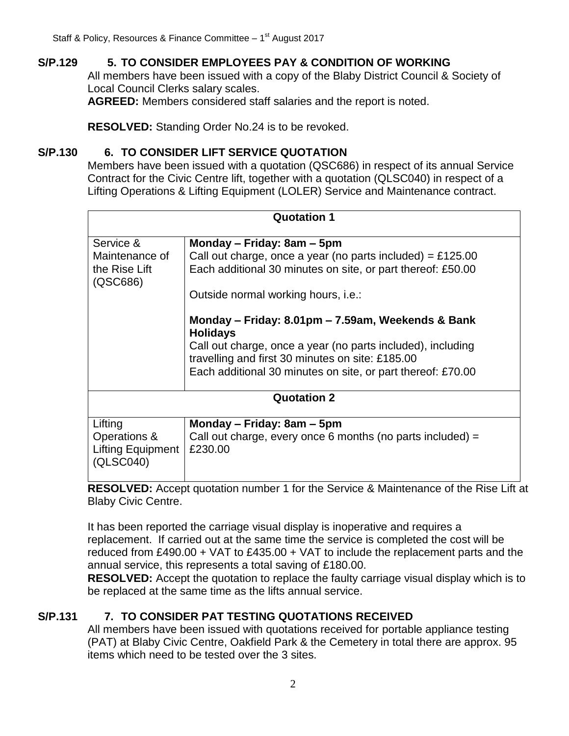## **S/P.129 5. TO CONSIDER EMPLOYEES PAY & CONDITION OF WORKING**

All members have been issued with a copy of the Blaby District Council & Society of Local Council Clerks salary scales.

**AGREED:** Members considered staff salaries and the report is noted.

**RESOLVED:** Standing Order No.24 is to be revoked.

#### **S/P.130 6. TO CONSIDER LIFT SERVICE QUOTATION**

Members have been issued with a quotation (QSC686) in respect of its annual Service Contract for the Civic Centre lift, together with a quotation (QLSC040) in respect of a Lifting Operations & Lifting Equipment (LOLER) Service and Maintenance contract.

| <b>Quotation 1</b>                    |                                                                                                                 |  |  |
|---------------------------------------|-----------------------------------------------------------------------------------------------------------------|--|--|
| Service &<br>Maintenance of           | Monday - Friday: 8am - 5pm<br>Call out charge, once a year (no parts included) = £125.00                        |  |  |
| the Rise Lift<br>(QSC686)             | Each additional 30 minutes on site, or part thereof: £50.00                                                     |  |  |
|                                       | Outside normal working hours, i.e.:                                                                             |  |  |
|                                       | Monday – Friday: 8.01pm – 7.59am, Weekends & Bank<br><b>Holidays</b>                                            |  |  |
|                                       | Call out charge, once a year (no parts included), including<br>travelling and first 30 minutes on site: £185.00 |  |  |
|                                       | Each additional 30 minutes on site, or part thereof: £70.00                                                     |  |  |
|                                       | <b>Quotation 2</b>                                                                                              |  |  |
| Lifting                               | Monday – Friday: 8am – 5pm                                                                                      |  |  |
| Operations &                          | Call out charge, every once 6 months (no parts included) $=$                                                    |  |  |
| <b>Lifting Equipment</b><br>(QLSC040) | £230.00                                                                                                         |  |  |

**RESOLVED:** Accept quotation number 1 for the Service & Maintenance of the Rise Lift at Blaby Civic Centre.

It has been reported the carriage visual display is inoperative and requires a replacement. If carried out at the same time the service is completed the cost will be reduced from £490.00 + VAT to £435.00 + VAT to include the replacement parts and the annual service, this represents a total saving of £180.00.

**RESOLVED:** Accept the quotation to replace the faulty carriage visual display which is to be replaced at the same time as the lifts annual service.

### **S/P.131 7. TO CONSIDER PAT TESTING QUOTATIONS RECEIVED**

All members have been issued with quotations received for portable appliance testing (PAT) at Blaby Civic Centre, Oakfield Park & the Cemetery in total there are approx. 95 items which need to be tested over the 3 sites.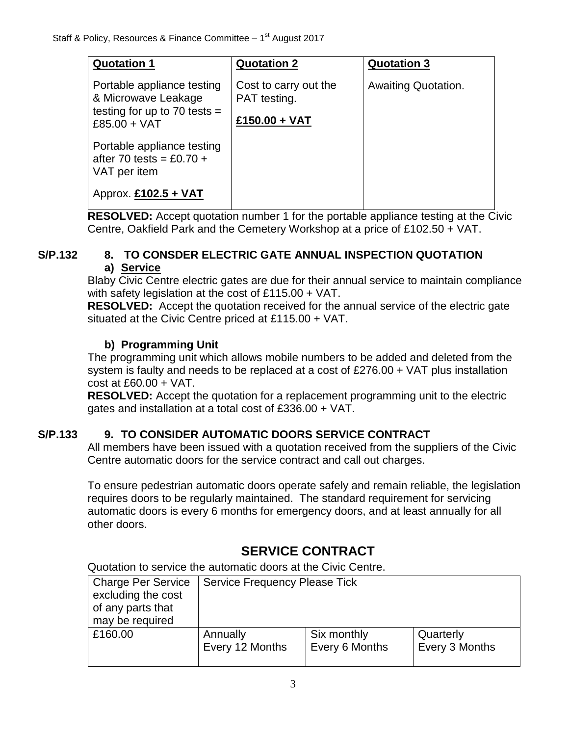| <b>Quotation 1</b>                                                                                    | <b>Quotation 2</b>                                     | <b>Quotation 3</b>  |
|-------------------------------------------------------------------------------------------------------|--------------------------------------------------------|---------------------|
| Portable appliance testing<br>& Microwave Leakage<br>testing for up to 70 tests $=$<br>$£85.00 + VAT$ | Cost to carry out the<br>PAT testing.<br>£150.00 + VAT | Awaiting Quotation. |
| Portable appliance testing<br>after 70 tests = £0.70 +<br>VAT per item                                |                                                        |                     |
| Approx. £102.5 + VAT                                                                                  |                                                        |                     |

**RESOLVED:** Accept quotation number 1 for the portable appliance testing at the Civic Centre, Oakfield Park and the Cemetery Workshop at a price of £102.50 + VAT.

#### **S/P.132 8. TO CONSDER ELECTRIC GATE ANNUAL INSPECTION QUOTATION a) Service**

Blaby Civic Centre electric gates are due for their annual service to maintain compliance with safety legislation at the cost of £115.00 + VAT.

**RESOLVED:** Accept the quotation received for the annual service of the electric gate situated at the Civic Centre priced at £115.00 + VAT.

# **b) Programming Unit**

The programming unit which allows mobile numbers to be added and deleted from the system is faulty and needs to be replaced at a cost of £276.00 + VAT plus installation cost at £60.00 + VAT.

**RESOLVED:** Accept the quotation for a replacement programming unit to the electric gates and installation at a total cost of £336.00 + VAT.

# **S/P.133 9. TO CONSIDER AUTOMATIC DOORS SERVICE CONTRACT**

All members have been issued with a quotation received from the suppliers of the Civic Centre automatic doors for the service contract and call out charges.

To ensure pedestrian automatic doors operate safely and remain reliable, the legislation requires doors to be regularly maintained. The standard requirement for servicing automatic doors is every 6 months for emergency doors, and at least annually for all other doors.

# **SERVICE CONTRACT**

Quotation to service the automatic doors at the Civic Centre.

| <b>Charge Per Service</b><br>excluding the cost<br>of any parts that<br>may be required | <b>Service Frequency Please Tick</b> |                |                |
|-----------------------------------------------------------------------------------------|--------------------------------------|----------------|----------------|
| £160.00                                                                                 | Annually                             | Six monthly    | Quarterly      |
|                                                                                         | Every 12 Months                      | Every 6 Months | Every 3 Months |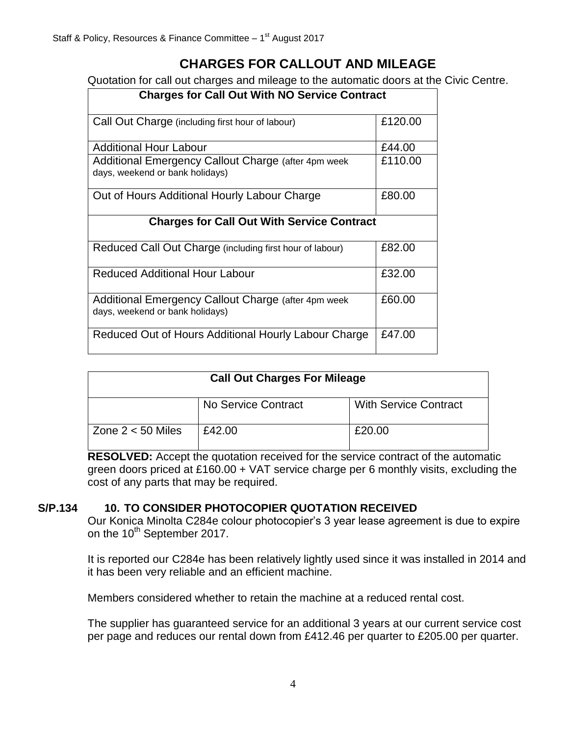# **CHARGES FOR CALLOUT AND MILEAGE**

Quotation for call out charges and mileage to the automatic doors at the Civic Centre.

| <b>Charges for Call Out With NO Service Contract</b>                                   |         |  |
|----------------------------------------------------------------------------------------|---------|--|
| Call Out Charge (including first hour of labour)                                       | £120.00 |  |
| <b>Additional Hour Labour</b>                                                          | £44.00  |  |
| Additional Emergency Callout Charge (after 4pm week<br>days, weekend or bank holidays) | £110.00 |  |
| Out of Hours Additional Hourly Labour Charge                                           | £80.00  |  |
| <b>Charges for Call Out With Service Contract</b>                                      |         |  |
| Reduced Call Out Charge (including first hour of labour)                               | £82.00  |  |
| <b>Reduced Additional Hour Labour</b>                                                  | £32.00  |  |
| Additional Emergency Callout Charge (after 4pm week<br>days, weekend or bank holidays) | £60.00  |  |
| Reduced Out of Hours Additional Hourly Labour Charge                                   | £47.00  |  |

| <b>Call Out Charges For Mileage</b> |                     |                              |  |
|-------------------------------------|---------------------|------------------------------|--|
|                                     | No Service Contract | <b>With Service Contract</b> |  |
| Zone $2 < 50$ Miles                 | £42.00              | £20.00                       |  |

**RESOLVED:** Accept the quotation received for the service contract of the automatic green doors priced at £160.00 + VAT service charge per 6 monthly visits, excluding the cost of any parts that may be required.

### **S/P.134 10. TO CONSIDER PHOTOCOPIER QUOTATION RECEIVED**

Our Konica Minolta C284e colour photocopier's 3 year lease agreement is due to expire on the 10<sup>th</sup> September 2017.

It is reported our C284e has been relatively lightly used since it was installed in 2014 and it has been very reliable and an efficient machine.

Members considered whether to retain the machine at a reduced rental cost.

The supplier has guaranteed service for an additional 3 years at our current service cost per page and reduces our rental down from £412.46 per quarter to £205.00 per quarter.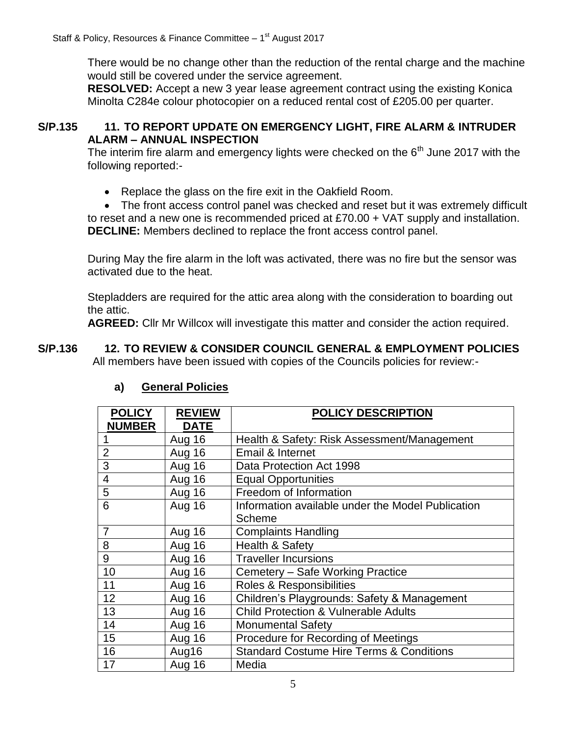There would be no change other than the reduction of the rental charge and the machine would still be covered under the service agreement.

**RESOLVED:** Accept a new 3 year lease agreement contract using the existing Konica Minolta C284e colour photocopier on a reduced rental cost of £205.00 per quarter.

#### **S/P.135 11. TO REPORT UPDATE ON EMERGENCY LIGHT, FIRE ALARM & INTRUDER ALARM – ANNUAL INSPECTION**

The interim fire alarm and emergency lights were checked on the  $6<sup>th</sup>$  June 2017 with the following reported:-

• Replace the glass on the fire exit in the Oakfield Room.

 The front access control panel was checked and reset but it was extremely difficult to reset and a new one is recommended priced at £70.00 + VAT supply and installation. **DECLINE:** Members declined to replace the front access control panel.

During May the fire alarm in the loft was activated, there was no fire but the sensor was activated due to the heat.

Stepladders are required for the attic area along with the consideration to boarding out the attic.

**AGREED:** Cllr Mr Willcox will investigate this matter and consider the action required.

#### **S/P.136 12. TO REVIEW & CONSIDER COUNCIL GENERAL & EMPLOYMENT POLICIES** All members have been issued with copies of the Councils policies for review:-

| <b>POLICY</b><br><b>NUMBER</b> | <b>REVIEW</b><br><b>DATE</b> | <b>POLICY DESCRIPTION</b>                           |
|--------------------------------|------------------------------|-----------------------------------------------------|
|                                | Aug 16                       | Health & Safety: Risk Assessment/Management         |
| $\overline{2}$                 | Aug 16                       | Email & Internet                                    |
| 3                              | Aug 16                       | Data Protection Act 1998                            |
| $\overline{4}$                 | Aug 16                       | <b>Equal Opportunities</b>                          |
| 5                              | Aug 16                       | Freedom of Information                              |
| 6                              | Aug 16                       | Information available under the Model Publication   |
|                                |                              | Scheme                                              |
| $\overline{7}$                 | Aug 16                       | <b>Complaints Handling</b>                          |
| 8                              | Aug 16                       | Health & Safety                                     |
| 9                              | Aug 16                       | <b>Traveller Incursions</b>                         |
| 10                             | Aug 16                       | Cemetery - Safe Working Practice                    |
| 11                             | Aug 16                       | Roles & Responsibilities                            |
| 12                             | Aug 16                       | Children's Playgrounds: Safety & Management         |
| 13                             | Aug 16                       | <b>Child Protection &amp; Vulnerable Adults</b>     |
| 14                             | Aug 16                       | <b>Monumental Safety</b>                            |
| 15                             | Aug 16                       | Procedure for Recording of Meetings                 |
| 16                             | Aug16                        | <b>Standard Costume Hire Terms &amp; Conditions</b> |
| 17                             | Aug 16                       | Media                                               |

### **a) General Policies**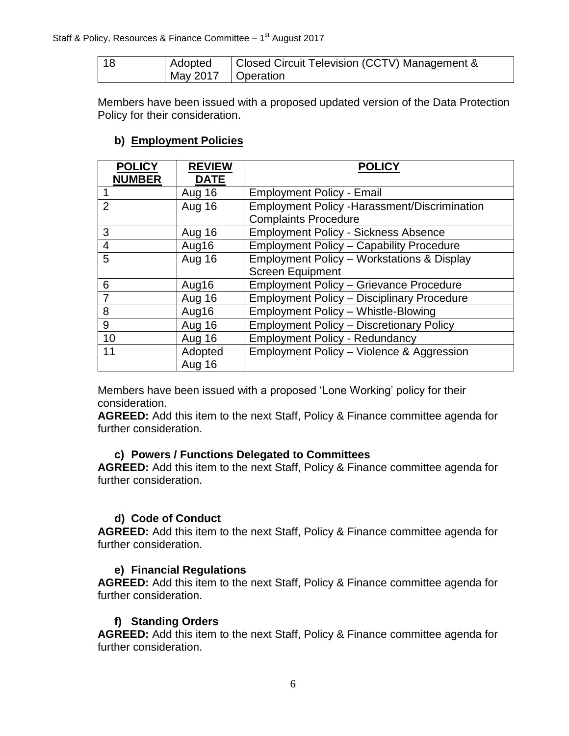| l 18 | Adopted              | Closed Circuit Television (CCTV) Management & |
|------|----------------------|-----------------------------------------------|
|      | May 2017   Operation |                                               |

Members have been issued with a proposed updated version of the Data Protection Policy for their consideration.

#### **b) Employment Policies**

| <b>POLICY</b><br><b>NUMBER</b> | <b>REVIEW</b><br><b>DATE</b> | <b>POLICY</b>                                         |
|--------------------------------|------------------------------|-------------------------------------------------------|
|                                | Aug 16                       | <b>Employment Policy - Email</b>                      |
| $\overline{2}$                 | <b>Aug 16</b>                | <b>Employment Policy - Harassment/Discrimination</b>  |
|                                |                              | <b>Complaints Procedure</b>                           |
| 3                              | Aug 16                       | <b>Employment Policy - Sickness Absence</b>           |
| 4                              | Aug16                        | <b>Employment Policy - Capability Procedure</b>       |
| 5                              | <b>Aug 16</b>                | <b>Employment Policy - Workstations &amp; Display</b> |
|                                |                              | <b>Screen Equipment</b>                               |
| 6                              | Aug16                        | <b>Employment Policy - Grievance Procedure</b>        |
| $\overline{7}$                 | Aug 16                       | <b>Employment Policy - Disciplinary Procedure</b>     |
| 8                              | Aug16                        | <b>Employment Policy - Whistle-Blowing</b>            |
| 9                              | Aug 16                       | <b>Employment Policy - Discretionary Policy</b>       |
| 10                             | Aug 16                       | <b>Employment Policy - Redundancy</b>                 |
| 11                             | Adopted                      | Employment Policy - Violence & Aggression             |
|                                | Aug 16                       |                                                       |

Members have been issued with a proposed 'Lone Working' policy for their consideration.

**AGREED:** Add this item to the next Staff, Policy & Finance committee agenda for further consideration.

#### **c) Powers / Functions Delegated to Committees**

**AGREED:** Add this item to the next Staff, Policy & Finance committee agenda for further consideration.

#### **d) Code of Conduct**

**AGREED:** Add this item to the next Staff, Policy & Finance committee agenda for further consideration.

#### **e) Financial Regulations**

**AGREED:** Add this item to the next Staff, Policy & Finance committee agenda for further consideration.

#### **f) Standing Orders**

**AGREED:** Add this item to the next Staff, Policy & Finance committee agenda for further consideration.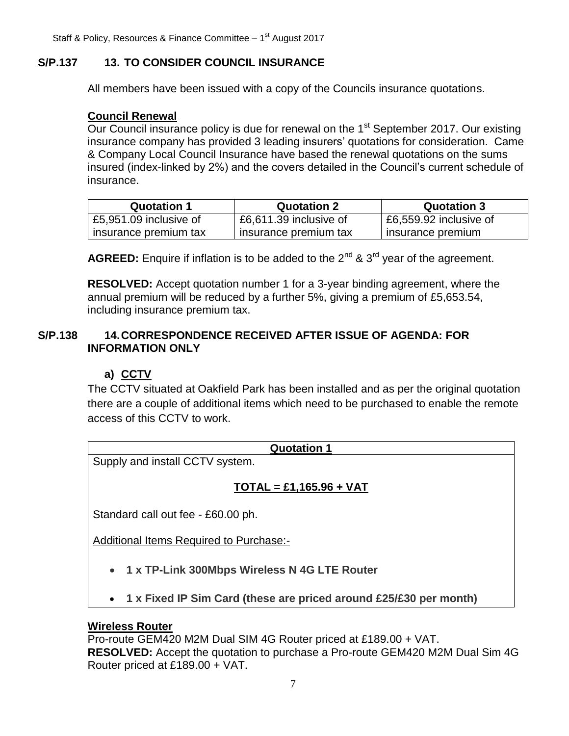## **S/P.137 13. TO CONSIDER COUNCIL INSURANCE**

All members have been issued with a copy of the Councils insurance quotations.

#### **Council Renewal**

Our Council insurance policy is due for renewal on the 1<sup>st</sup> September 2017. Our existing insurance company has provided 3 leading insurers' quotations for consideration. Came & Company Local Council Insurance have based the renewal quotations on the sums insured (index-linked by 2%) and the covers detailed in the Council's current schedule of insurance.

| <b>Quotation 1</b>     | <b>Quotation 2</b>       | <b>Quotation 3</b>     |
|------------------------|--------------------------|------------------------|
| £5,951.09 inclusive of | $E6,611.39$ inclusive of | £6,559.92 inclusive of |
| insurance premium tax  | insurance premium tax    | insurance premium      |

AGREED: Enquire if inflation is to be added to the 2<sup>nd</sup> & 3<sup>rd</sup> year of the agreement.

**RESOLVED:** Accept quotation number 1 for a 3-year binding agreement, where the annual premium will be reduced by a further 5%, giving a premium of £5,653.54, including insurance premium tax.

#### **S/P.138 14.CORRESPONDENCE RECEIVED AFTER ISSUE OF AGENDA: FOR INFORMATION ONLY**

## **a) CCTV**

The CCTV situated at Oakfield Park has been installed and as per the original quotation there are a couple of additional items which need to be purchased to enable the remote access of this CCTV to work.

#### **Quotation 1**

Supply and install CCTV system.

# **TOTAL = £1,165.96 + VAT**

Standard call out fee - £60.00 ph.

Additional Items Required to Purchase:-

- **1 x TP-Link 300Mbps Wireless N 4G LTE Router**
- **1 x Fixed IP Sim Card (these are priced around £25/£30 per month)**

### **Wireless Router**

Pro-route GEM420 M2M Dual SIM 4G Router priced at £189.00 + VAT. **RESOLVED:** Accept the quotation to purchase a Pro-route GEM420 M2M Dual Sim 4G Router priced at £189.00 + VAT.